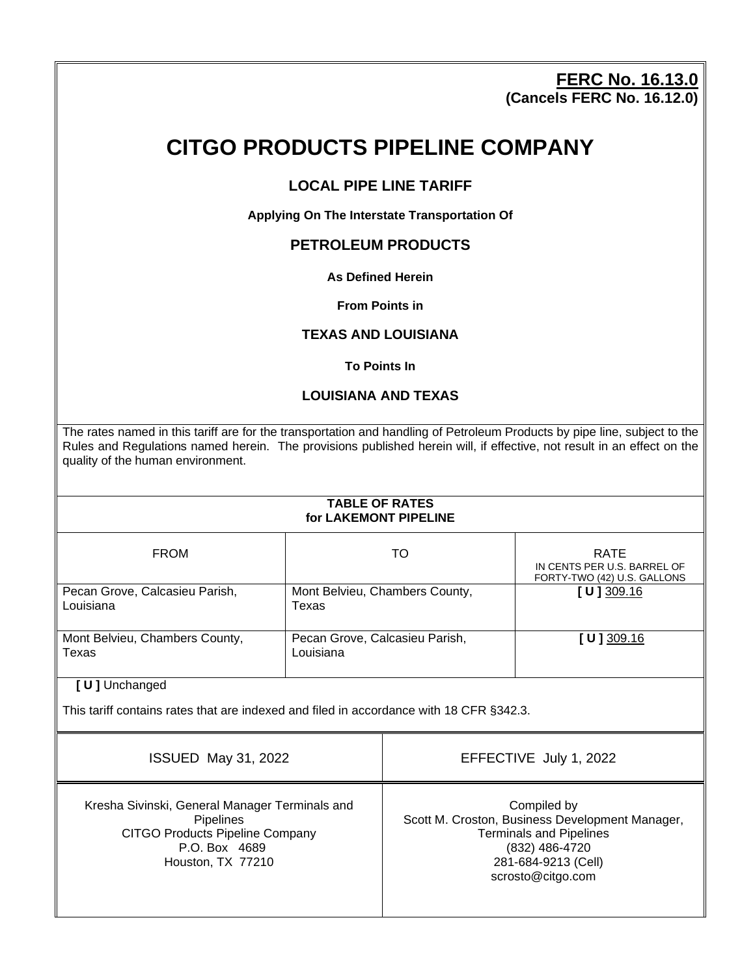### **FERC No. 16.13.0 (Cancels FERC No. 16.12.0)**

# **CITGO PRODUCTS PIPELINE COMPANY**

### **LOCAL PIPE LINE TARIFF**

**Applying On The Interstate Transportation Of**

### **PETROLEUM PRODUCTS**

#### **As Defined Herein**

#### **From Points in**

#### **TEXAS AND LOUISIANA**

#### **To Points In**

#### **LOUISIANA AND TEXAS**

The rates named in this tariff are for the transportation and handling of Petroleum Products by pipe line, subject to the Rules and Regulations named herein. The provisions published herein will, if effective, not result in an effect on the quality of the human environment.

#### **TABLE OF RATES for LAKEMONT PIPELINE**

| <b>FROM</b>                                 | TO                                          | <b>RATE</b><br>IN CENTS PER U.S. BARREL OF<br>FORTY-TWO (42) U.S. GALLONS |
|---------------------------------------------|---------------------------------------------|---------------------------------------------------------------------------|
| Pecan Grove, Calcasieu Parish,<br>Louisiana | Mont Belvieu, Chambers County,<br>Texas     | [ $U$ ] 309.16                                                            |
| Mont Belvieu, Chambers County,<br>Texas     | Pecan Grove, Calcasieu Parish,<br>Louisiana | [ <b>U</b> ] 309.16                                                       |

**[ U ]** Unchanged

This tariff contains rates that are indexed and filed in accordance with 18 CFR §342.3.

| <b>ISSUED May 31, 2022</b>                                                                                                                         | EFFECTIVE July 1, 2022                                                                                                                                         |
|----------------------------------------------------------------------------------------------------------------------------------------------------|----------------------------------------------------------------------------------------------------------------------------------------------------------------|
| Kresha Sivinski, General Manager Terminals and<br><b>Pipelines</b><br><b>CITGO Products Pipeline Company</b><br>P.O. Box 4689<br>Houston, TX 77210 | Compiled by<br>Scott M. Croston, Business Development Manager,<br><b>Terminals and Pipelines</b><br>(832) 486-4720<br>281-684-9213 (Cell)<br>scrosto@citgo.com |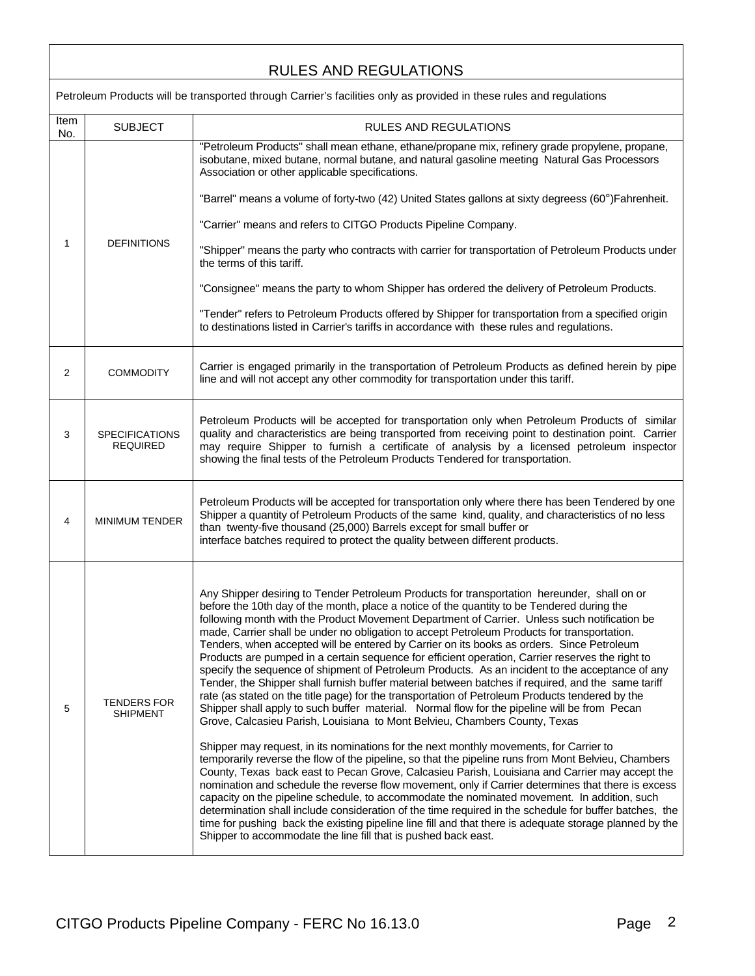# RULES AND REGULATIONS

|                | Petroleum Products will be transported through Carrier's facilities only as provided in these rules and regulations |                                                                                                                                                                                                                                                                                                                                                                                                                                                                                                                                                                                                                                                                                                                                                                                                                                                                                                                                                                                                                                                                                                                                                                                                                                                                                                                                                                                                                                                                                                                                                                                                                                                                                                                                                                                                                                                                                    |  |
|----------------|---------------------------------------------------------------------------------------------------------------------|------------------------------------------------------------------------------------------------------------------------------------------------------------------------------------------------------------------------------------------------------------------------------------------------------------------------------------------------------------------------------------------------------------------------------------------------------------------------------------------------------------------------------------------------------------------------------------------------------------------------------------------------------------------------------------------------------------------------------------------------------------------------------------------------------------------------------------------------------------------------------------------------------------------------------------------------------------------------------------------------------------------------------------------------------------------------------------------------------------------------------------------------------------------------------------------------------------------------------------------------------------------------------------------------------------------------------------------------------------------------------------------------------------------------------------------------------------------------------------------------------------------------------------------------------------------------------------------------------------------------------------------------------------------------------------------------------------------------------------------------------------------------------------------------------------------------------------------------------------------------------------|--|
| Item<br>No.    | <b>SUBJECT</b>                                                                                                      | RULES AND REGULATIONS                                                                                                                                                                                                                                                                                                                                                                                                                                                                                                                                                                                                                                                                                                                                                                                                                                                                                                                                                                                                                                                                                                                                                                                                                                                                                                                                                                                                                                                                                                                                                                                                                                                                                                                                                                                                                                                              |  |
|                |                                                                                                                     | "Petroleum Products" shall mean ethane, ethane/propane mix, refinery grade propylene, propane,<br>isobutane, mixed butane, normal butane, and natural gasoline meeting Natural Gas Processors<br>Association or other applicable specifications.                                                                                                                                                                                                                                                                                                                                                                                                                                                                                                                                                                                                                                                                                                                                                                                                                                                                                                                                                                                                                                                                                                                                                                                                                                                                                                                                                                                                                                                                                                                                                                                                                                   |  |
|                |                                                                                                                     | "Barrel" means a volume of forty-two (42) United States gallons at sixty degreess (60°)Fahrenheit.                                                                                                                                                                                                                                                                                                                                                                                                                                                                                                                                                                                                                                                                                                                                                                                                                                                                                                                                                                                                                                                                                                                                                                                                                                                                                                                                                                                                                                                                                                                                                                                                                                                                                                                                                                                 |  |
|                |                                                                                                                     | "Carrier" means and refers to CITGO Products Pipeline Company.                                                                                                                                                                                                                                                                                                                                                                                                                                                                                                                                                                                                                                                                                                                                                                                                                                                                                                                                                                                                                                                                                                                                                                                                                                                                                                                                                                                                                                                                                                                                                                                                                                                                                                                                                                                                                     |  |
| 1              | <b>DEFINITIONS</b>                                                                                                  | "Shipper" means the party who contracts with carrier for transportation of Petroleum Products under<br>the terms of this tariff.                                                                                                                                                                                                                                                                                                                                                                                                                                                                                                                                                                                                                                                                                                                                                                                                                                                                                                                                                                                                                                                                                                                                                                                                                                                                                                                                                                                                                                                                                                                                                                                                                                                                                                                                                   |  |
|                |                                                                                                                     | "Consignee" means the party to whom Shipper has ordered the delivery of Petroleum Products.                                                                                                                                                                                                                                                                                                                                                                                                                                                                                                                                                                                                                                                                                                                                                                                                                                                                                                                                                                                                                                                                                                                                                                                                                                                                                                                                                                                                                                                                                                                                                                                                                                                                                                                                                                                        |  |
|                |                                                                                                                     | "Tender" refers to Petroleum Products offered by Shipper for transportation from a specified origin<br>to destinations listed in Carrier's tariffs in accordance with these rules and regulations.                                                                                                                                                                                                                                                                                                                                                                                                                                                                                                                                                                                                                                                                                                                                                                                                                                                                                                                                                                                                                                                                                                                                                                                                                                                                                                                                                                                                                                                                                                                                                                                                                                                                                 |  |
| $\overline{2}$ | <b>COMMODITY</b>                                                                                                    | Carrier is engaged primarily in the transportation of Petroleum Products as defined herein by pipe<br>line and will not accept any other commodity for transportation under this tariff.                                                                                                                                                                                                                                                                                                                                                                                                                                                                                                                                                                                                                                                                                                                                                                                                                                                                                                                                                                                                                                                                                                                                                                                                                                                                                                                                                                                                                                                                                                                                                                                                                                                                                           |  |
| 3              | <b>SPECIFICATIONS</b><br><b>REQUIRED</b>                                                                            | Petroleum Products will be accepted for transportation only when Petroleum Products of similar<br>quality and characteristics are being transported from receiving point to destination point. Carrier<br>may require Shipper to furnish a certificate of analysis by a licensed petroleum inspector<br>showing the final tests of the Petroleum Products Tendered for transportation.                                                                                                                                                                                                                                                                                                                                                                                                                                                                                                                                                                                                                                                                                                                                                                                                                                                                                                                                                                                                                                                                                                                                                                                                                                                                                                                                                                                                                                                                                             |  |
| 4              | <b>MINIMUM TENDER</b>                                                                                               | Petroleum Products will be accepted for transportation only where there has been Tendered by one<br>Shipper a quantity of Petroleum Products of the same kind, quality, and characteristics of no less<br>than twenty-five thousand (25,000) Barrels except for small buffer or<br>interface batches required to protect the quality between different products.                                                                                                                                                                                                                                                                                                                                                                                                                                                                                                                                                                                                                                                                                                                                                                                                                                                                                                                                                                                                                                                                                                                                                                                                                                                                                                                                                                                                                                                                                                                   |  |
| 5              | TENDERS FOR<br><b>SHIPMENT</b>                                                                                      | Any Shipper desiring to Tender Petroleum Products for transportation hereunder, shall on or<br>before the 10th day of the month, place a notice of the quantity to be Tendered during the<br>following month with the Product Movement Department of Carrier. Unless such notification be<br>made, Carrier shall be under no obligation to accept Petroleum Products for transportation.<br>Tenders, when accepted will be entered by Carrier on its books as orders. Since Petroleum<br>Products are pumped in a certain sequence for efficient operation, Carrier reserves the right to<br>specify the sequence of shipment of Petroleum Products. As an incident to the acceptance of any<br>Tender, the Shipper shall furnish buffer material between batches if required, and the same tariff<br>rate (as stated on the title page) for the transportation of Petroleum Products tendered by the<br>Shipper shall apply to such buffer material. Normal flow for the pipeline will be from Pecan<br>Grove, Calcasieu Parish, Louisiana to Mont Belvieu, Chambers County, Texas<br>Shipper may request, in its nominations for the next monthly movements, for Carrier to<br>temporarily reverse the flow of the pipeline, so that the pipeline runs from Mont Belvieu, Chambers<br>County, Texas back east to Pecan Grove, Calcasieu Parish, Louisiana and Carrier may accept the<br>nomination and schedule the reverse flow movement, only if Carrier determines that there is excess<br>capacity on the pipeline schedule, to accommodate the nominated movement. In addition, such<br>determination shall include consideration of the time required in the schedule for buffer batches, the<br>time for pushing back the existing pipeline line fill and that there is adequate storage planned by the<br>Shipper to accommodate the line fill that is pushed back east. |  |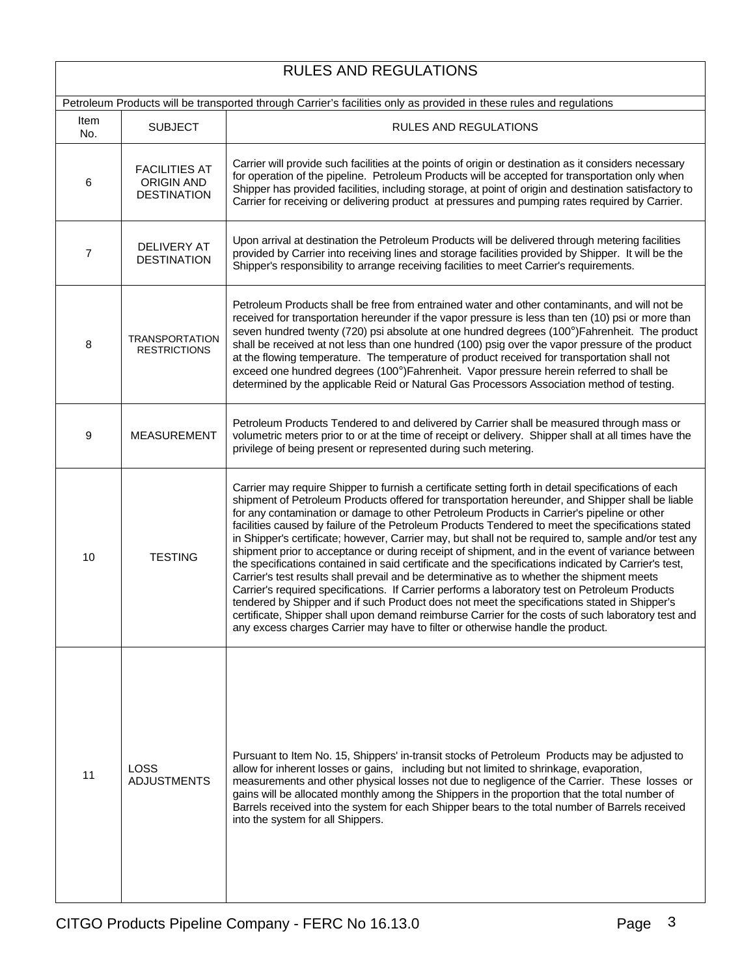## RULES AND REGULATIONS

| Petroleum Products will be transported through Carrier's facilities only as provided in these rules and regulations |                                                                 |                                                                                                                                                                                                                                                                                                                                                                                                                                                                                                                                                                                                                                                                                                                                                                                                                                                                                                                                                                                                                                                                                                                                                                                                                        |
|---------------------------------------------------------------------------------------------------------------------|-----------------------------------------------------------------|------------------------------------------------------------------------------------------------------------------------------------------------------------------------------------------------------------------------------------------------------------------------------------------------------------------------------------------------------------------------------------------------------------------------------------------------------------------------------------------------------------------------------------------------------------------------------------------------------------------------------------------------------------------------------------------------------------------------------------------------------------------------------------------------------------------------------------------------------------------------------------------------------------------------------------------------------------------------------------------------------------------------------------------------------------------------------------------------------------------------------------------------------------------------------------------------------------------------|
| Item<br>No.                                                                                                         | <b>SUBJECT</b>                                                  | <b>RULES AND REGULATIONS</b>                                                                                                                                                                                                                                                                                                                                                                                                                                                                                                                                                                                                                                                                                                                                                                                                                                                                                                                                                                                                                                                                                                                                                                                           |
| 6                                                                                                                   | <b>FACILITIES AT</b><br><b>ORIGIN AND</b><br><b>DESTINATION</b> | Carrier will provide such facilities at the points of origin or destination as it considers necessary<br>for operation of the pipeline. Petroleum Products will be accepted for transportation only when<br>Shipper has provided facilities, including storage, at point of origin and destination satisfactory to<br>Carrier for receiving or delivering product at pressures and pumping rates required by Carrier.                                                                                                                                                                                                                                                                                                                                                                                                                                                                                                                                                                                                                                                                                                                                                                                                  |
| $\overline{7}$                                                                                                      | <b>DELIVERY AT</b><br><b>DESTINATION</b>                        | Upon arrival at destination the Petroleum Products will be delivered through metering facilities<br>provided by Carrier into receiving lines and storage facilities provided by Shipper. It will be the<br>Shipper's responsibility to arrange receiving facilities to meet Carrier's requirements.                                                                                                                                                                                                                                                                                                                                                                                                                                                                                                                                                                                                                                                                                                                                                                                                                                                                                                                    |
| 8                                                                                                                   | <b>TRANSPORTATION</b><br><b>RESTRICTIONS</b>                    | Petroleum Products shall be free from entrained water and other contaminants, and will not be<br>received for transportation hereunder if the vapor pressure is less than ten (10) psi or more than<br>seven hundred twenty (720) psi absolute at one hundred degrees (100°)Fahrenheit. The product<br>shall be received at not less than one hundred (100) psig over the vapor pressure of the product<br>at the flowing temperature. The temperature of product received for transportation shall not<br>exceed one hundred degrees (100°)Fahrenheit. Vapor pressure herein referred to shall be<br>determined by the applicable Reid or Natural Gas Processors Association method of testing.                                                                                                                                                                                                                                                                                                                                                                                                                                                                                                                       |
| 9                                                                                                                   | <b>MEASUREMENT</b>                                              | Petroleum Products Tendered to and delivered by Carrier shall be measured through mass or<br>volumetric meters prior to or at the time of receipt or delivery. Shipper shall at all times have the<br>privilege of being present or represented during such metering.                                                                                                                                                                                                                                                                                                                                                                                                                                                                                                                                                                                                                                                                                                                                                                                                                                                                                                                                                  |
| 10                                                                                                                  | <b>TESTING</b>                                                  | Carrier may require Shipper to furnish a certificate setting forth in detail specifications of each<br>shipment of Petroleum Products offered for transportation hereunder, and Shipper shall be liable<br>for any contamination or damage to other Petroleum Products in Carrier's pipeline or other<br>facilities caused by failure of the Petroleum Products Tendered to meet the specifications stated<br>in Shipper's certificate; however, Carrier may, but shall not be required to, sample and/or test any<br>shipment prior to acceptance or during receipt of shipment, and in the event of variance between<br>the specifications contained in said certificate and the specifications indicated by Carrier's test,<br>Carrier's test results shall prevail and be determinative as to whether the shipment meets<br>Carrier's required specifications. If Carrier performs a laboratory test on Petroleum Products<br>tendered by Shipper and if such Product does not meet the specifications stated in Shipper's<br>certificate, Shipper shall upon demand reimburse Carrier for the costs of such laboratory test and<br>any excess charges Carrier may have to filter or otherwise handle the product. |
| 11                                                                                                                  | <b>LOSS</b><br><b>ADJUSTMENTS</b>                               | Pursuant to Item No. 15, Shippers' in-transit stocks of Petroleum Products may be adjusted to<br>allow for inherent losses or gains, including but not limited to shrinkage, evaporation,<br>measurements and other physical losses not due to negligence of the Carrier. These losses or<br>gains will be allocated monthly among the Shippers in the proportion that the total number of<br>Barrels received into the system for each Shipper bears to the total number of Barrels received<br>into the system for all Shippers.                                                                                                                                                                                                                                                                                                                                                                                                                                                                                                                                                                                                                                                                                     |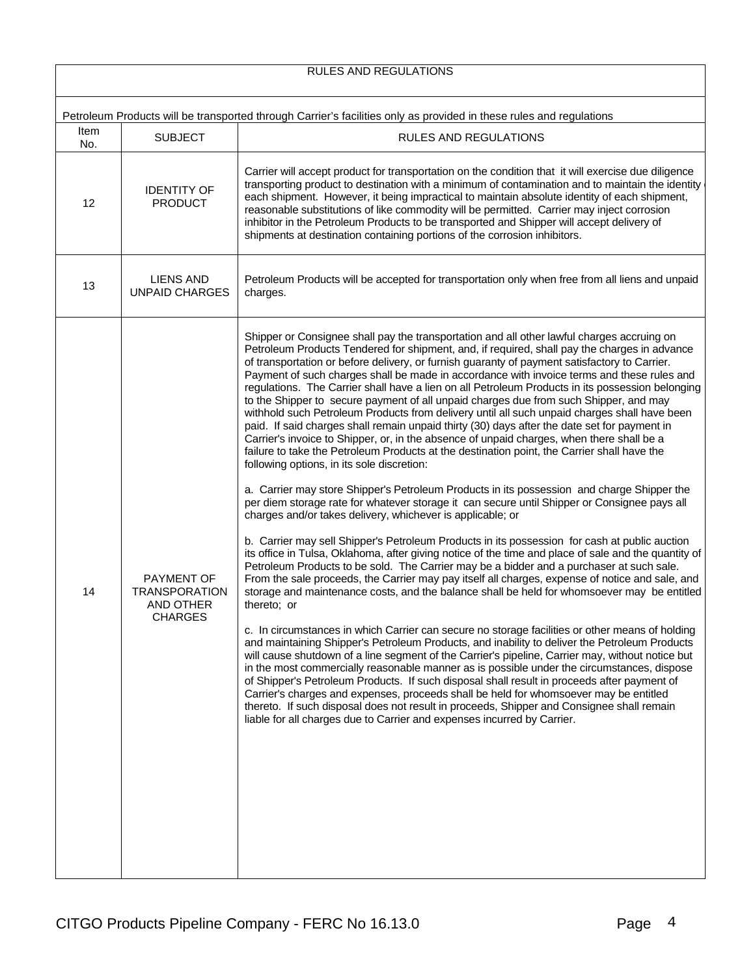| RULES AND REGULATIONS                                                                                               |                                                                   |                                                                                                                                                                                                                                                                                                                                                                                                                                                                                                                                                                                                                                                                                                                                                                                                                                                                                                                                                                                                                                                                                                                                                                                                                                                                                                                                                                                                                                                                                                                                                                                                                                                                                                                                                                                                                                                                                                                                                                                                                                                                                                                                                                                                                                                                                                                                                                                                                                                                                                                                                                                          |  |  |
|---------------------------------------------------------------------------------------------------------------------|-------------------------------------------------------------------|------------------------------------------------------------------------------------------------------------------------------------------------------------------------------------------------------------------------------------------------------------------------------------------------------------------------------------------------------------------------------------------------------------------------------------------------------------------------------------------------------------------------------------------------------------------------------------------------------------------------------------------------------------------------------------------------------------------------------------------------------------------------------------------------------------------------------------------------------------------------------------------------------------------------------------------------------------------------------------------------------------------------------------------------------------------------------------------------------------------------------------------------------------------------------------------------------------------------------------------------------------------------------------------------------------------------------------------------------------------------------------------------------------------------------------------------------------------------------------------------------------------------------------------------------------------------------------------------------------------------------------------------------------------------------------------------------------------------------------------------------------------------------------------------------------------------------------------------------------------------------------------------------------------------------------------------------------------------------------------------------------------------------------------------------------------------------------------------------------------------------------------------------------------------------------------------------------------------------------------------------------------------------------------------------------------------------------------------------------------------------------------------------------------------------------------------------------------------------------------------------------------------------------------------------------------------------------------|--|--|
|                                                                                                                     |                                                                   |                                                                                                                                                                                                                                                                                                                                                                                                                                                                                                                                                                                                                                                                                                                                                                                                                                                                                                                                                                                                                                                                                                                                                                                                                                                                                                                                                                                                                                                                                                                                                                                                                                                                                                                                                                                                                                                                                                                                                                                                                                                                                                                                                                                                                                                                                                                                                                                                                                                                                                                                                                                          |  |  |
| Petroleum Products will be transported through Carrier's facilities only as provided in these rules and regulations |                                                                   |                                                                                                                                                                                                                                                                                                                                                                                                                                                                                                                                                                                                                                                                                                                                                                                                                                                                                                                                                                                                                                                                                                                                                                                                                                                                                                                                                                                                                                                                                                                                                                                                                                                                                                                                                                                                                                                                                                                                                                                                                                                                                                                                                                                                                                                                                                                                                                                                                                                                                                                                                                                          |  |  |
| Item<br>No.                                                                                                         | <b>SUBJECT</b>                                                    | RULES AND REGULATIONS                                                                                                                                                                                                                                                                                                                                                                                                                                                                                                                                                                                                                                                                                                                                                                                                                                                                                                                                                                                                                                                                                                                                                                                                                                                                                                                                                                                                                                                                                                                                                                                                                                                                                                                                                                                                                                                                                                                                                                                                                                                                                                                                                                                                                                                                                                                                                                                                                                                                                                                                                                    |  |  |
| 12                                                                                                                  | <b>IDENTITY OF</b><br><b>PRODUCT</b>                              | Carrier will accept product for transportation on the condition that it will exercise due diligence<br>transporting product to destination with a minimum of contamination and to maintain the identity<br>each shipment. However, it being impractical to maintain absolute identity of each shipment,<br>reasonable substitutions of like commodity will be permitted. Carrier may inject corrosion<br>inhibitor in the Petroleum Products to be transported and Shipper will accept delivery of<br>shipments at destination containing portions of the corrosion inhibitors.                                                                                                                                                                                                                                                                                                                                                                                                                                                                                                                                                                                                                                                                                                                                                                                                                                                                                                                                                                                                                                                                                                                                                                                                                                                                                                                                                                                                                                                                                                                                                                                                                                                                                                                                                                                                                                                                                                                                                                                                          |  |  |
| 13                                                                                                                  | LIENS AND<br><b>UNPAID CHARGES</b>                                | Petroleum Products will be accepted for transportation only when free from all liens and unpaid<br>charges.                                                                                                                                                                                                                                                                                                                                                                                                                                                                                                                                                                                                                                                                                                                                                                                                                                                                                                                                                                                                                                                                                                                                                                                                                                                                                                                                                                                                                                                                                                                                                                                                                                                                                                                                                                                                                                                                                                                                                                                                                                                                                                                                                                                                                                                                                                                                                                                                                                                                              |  |  |
| 14                                                                                                                  | <b>PAYMENT OF</b><br><b>TRANSPORATION</b><br>AND OTHER<br>CHARGES | Shipper or Consignee shall pay the transportation and all other lawful charges accruing on<br>Petroleum Products Tendered for shipment, and, if required, shall pay the charges in advance<br>of transportation or before delivery, or furnish guaranty of payment satisfactory to Carrier.<br>Payment of such charges shall be made in accordance with invoice terms and these rules and<br>regulations. The Carrier shall have a lien on all Petroleum Products in its possession belonging<br>to the Shipper to secure payment of all unpaid charges due from such Shipper, and may<br>withhold such Petroleum Products from delivery until all such unpaid charges shall have been<br>paid. If said charges shall remain unpaid thirty (30) days after the date set for payment in<br>Carrier's invoice to Shipper, or, in the absence of unpaid charges, when there shall be a<br>failure to take the Petroleum Products at the destination point, the Carrier shall have the<br>following options, in its sole discretion:<br>a. Carrier may store Shipper's Petroleum Products in its possession and charge Shipper the<br>per diem storage rate for whatever storage it can secure until Shipper or Consignee pays all<br>charges and/or takes delivery, whichever is applicable; or<br>b. Carrier may sell Shipper's Petroleum Products in its possession for cash at public auction<br>its office in Tulsa, Oklahoma, after giving notice of the time and place of sale and the quantity of<br>Petroleum Products to be sold. The Carrier may be a bidder and a purchaser at such sale.<br>From the sale proceeds, the Carrier may pay itself all charges, expense of notice and sale, and<br>storage and maintenance costs, and the balance shall be held for whomsoever may be entitled<br>thereto: or<br>c. In circumstances in which Carrier can secure no storage facilities or other means of holding<br>and maintaining Shipper's Petroleum Products, and inability to deliver the Petroleum Products<br>will cause shutdown of a line segment of the Carrier's pipeline, Carrier may, without notice but<br>in the most commercially reasonable manner as is possible under the circumstances, dispose<br>of Shipper's Petroleum Products. If such disposal shall result in proceeds after payment of<br>Carrier's charges and expenses, proceeds shall be held for whomsoever may be entitled<br>thereto. If such disposal does not result in proceeds, Shipper and Consignee shall remain<br>liable for all charges due to Carrier and expenses incurred by Carrier. |  |  |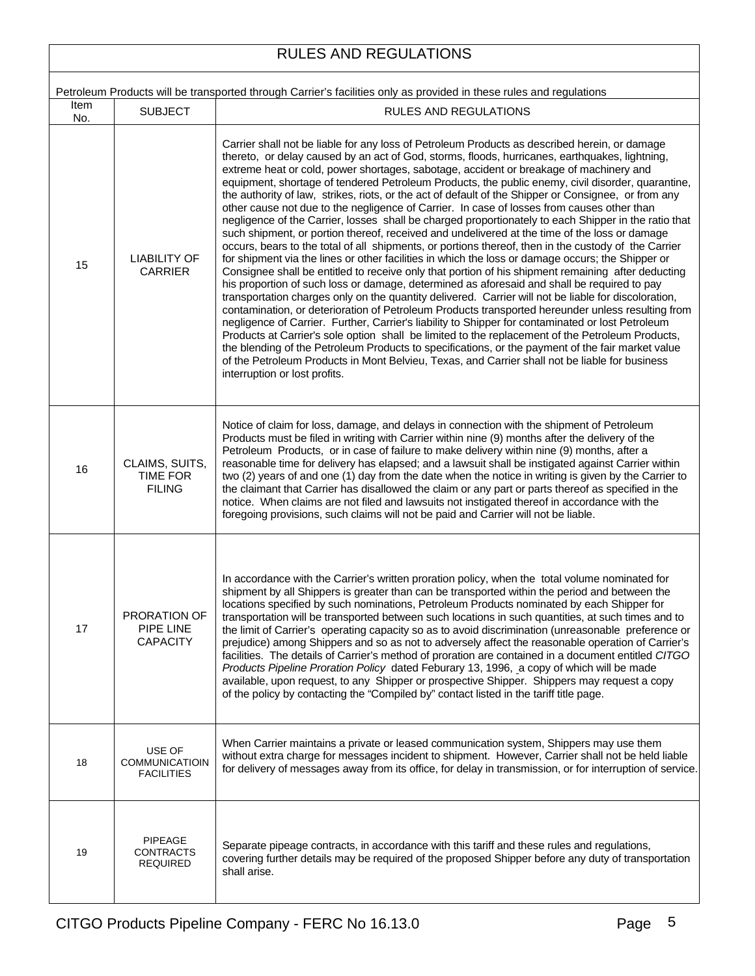#### RULES AND REGULATIONS Petroleum Products will be transported through Carrier's facilities only as provided in these rules and regulations Item No. SUBJECT | SUBJECT | RULES AND REGULATIONS 15 | LIABILITY OF CARRIER Carrier shall not be liable for any loss of Petroleum Products as described herein, or damage thereto, or delay caused by an act of God, storms, floods, hurricanes, earthquakes, lightning, extreme heat or cold, power shortages, sabotage, accident or breakage of machinery and equipment, shortage of tendered Petroleum Products, the public enemy, civil disorder, quarantine, the authority of law, strikes, riots, or the act of default of the Shipper or Consignee, or from any other cause not due to the negligence of Carrier. In case of losses from causes other than negligence of the Carrier, losses shall be charged proportionately to each Shipper in the ratio that such shipment, or portion thereof, received and undelivered at the time of the loss or damage occurs, bears to the total of all shipments, or portions thereof, then in the custody of the Carrier for shipment via the lines or other facilities in which the loss or damage occurs; the Shipper or Consignee shall be entitled to receive only that portion of his shipment remaining after deducting his proportion of such loss or damage, determined as aforesaid and shall be required to pay transportation charges only on the quantity delivered. Carrier will not be liable for discoloration, contamination, or deterioration of Petroleum Products transported hereunder unless resulting from negligence of Carrier. Further, Carrier's liability to Shipper for contaminated or lost Petroleum Products at Carrier's sole option shall be limited to the replacement of the Petroleum Products, the blending of the Petroleum Products to specifications, or the payment of the fair market value of the Petroleum Products in Mont Belvieu, Texas, and Carrier shall not be liable for business interruption or lost profits.  $16$  CLAIMS, SUITS, TIME FOR FILING Notice of claim for loss, damage, and delays in connection with the shipment of Petroleum Products must be filed in writing with Carrier within nine (9) months after the delivery of the Petroleum Products, or in case of failure to make delivery within nine (9) months, after a reasonable time for delivery has elapsed; and a lawsuit shall be instigated against Carrier within two (2) years of and one (1) day from the date when the notice in writing is given by the Carrier to the claimant that Carrier has disallowed the claim or any part or parts thereof as specified in the notice. When claims are not filed and lawsuits not instigated thereof in accordance with the foregoing provisions, such claims will not be paid and Carrier will not be liable. 17 PRORATION OF PIPE LINE **CAPACITY** In accordance with the Carrier's written proration policy, when the total volume nominated for shipment by all Shippers is greater than can be transported within the period and between the locations specified by such nominations, Petroleum Products nominated by each Shipper for transportation will be transported between such locations in such quantities, at such times and to the limit of Carrier's operating capacity so as to avoid discrimination (unreasonable preference or prejudice) among Shippers and so as not to adversely affect the reasonable operation of Carrier's facilities. The details of Carrier's method of proration are contained in a document entitled *CITGO Products Pipeline Proration Policy* dated Feburary 13, 1996, a copy of which will be made available, upon request, to any Shipper or prospective Shipper. Shippers may request a copy of the policy by contacting the "Compiled by" contact listed in the tariff title page. 18 USE OF COMMUNICATIOIN FACILITIES When Carrier maintains a private or leased communication system, Shippers may use them without extra charge for messages incident to shipment. However, Carrier shall not be held liable for delivery of messages away from its office, for delay in transmission, or for interruption of service. 19 PIPEAGE **CONTRACTS** REQUIRED Separate pipeage contracts, in accordance with this tariff and these rules and regulations, covering further details may be required of the proposed Shipper before any duty of transportation shall arise.